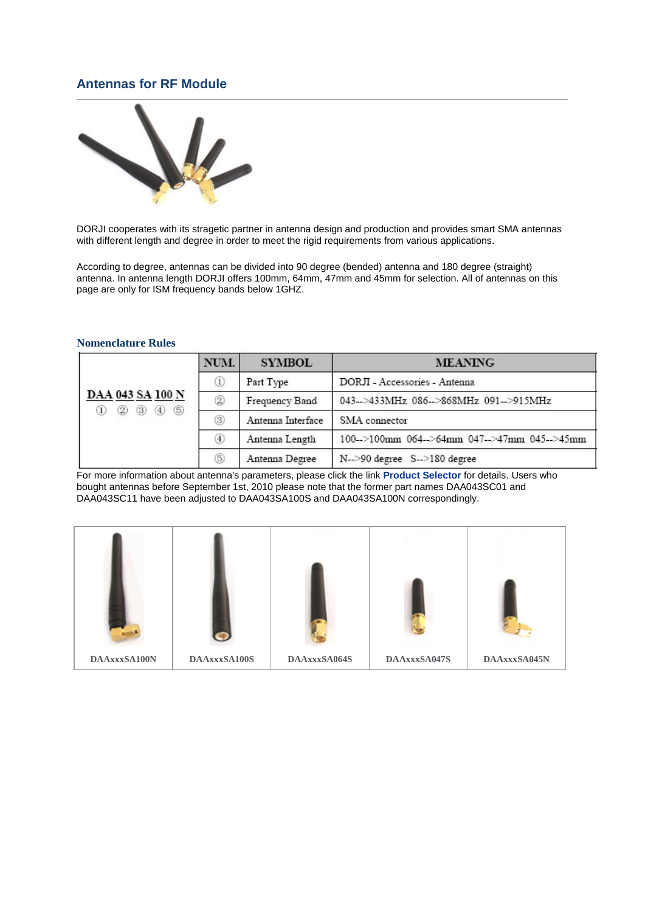## **Antennas for RF Module**



DORJI cooperates with its stragetic partner in antenna design and production and provides smart SMA antennas with different length and degree in order to meet the rigid requirements from various applications.

According to degree, antennas can be divided into 90 degree (bended) antenna and 180 degree (straight) antenna. In antenna length DORJI offers 100mm, 64mm, 47mm and 45mm for selection. All of antennas on this page are only for ISM frequency bands below 1GHZ.

## **Nomenclature Rules**

| DAA 043 SA 100 N<br>2 3 4 5<br>$_{\text{1}}$ | NUM. | <b>SYMBOL</b>     | <b>MEANING</b>                               |  |  |  |  |
|----------------------------------------------|------|-------------------|----------------------------------------------|--|--|--|--|
|                                              | ⊕    | Part Type         | DORJI - Accessories - Antenna                |  |  |  |  |
|                                              | 2    | Frequency Band    | 043-->433MHz 086-->868MHz 091-->915MHz       |  |  |  |  |
|                                              | ③    | Antenna Interface | SMA connector                                |  |  |  |  |
|                                              | ⊕    | Antenna Length    | 100-->100mm 064-->64mm 047-->47mm 045-->45mm |  |  |  |  |
|                                              | 6    | Antenna Degree    | N-->90 degree S-->180 degree                 |  |  |  |  |

For more information about antenna's parameters, please click the link **[Product Selector](http://www.dorji.com/pro/kits/antenna_selector.html)** for details. Users who bought antennas before September 1st, 2010 please note that the former part names DAA043SC01 and DAA043SC11 have been adjusted to DAA043SA100S and DAA043SA100N correspondingly.